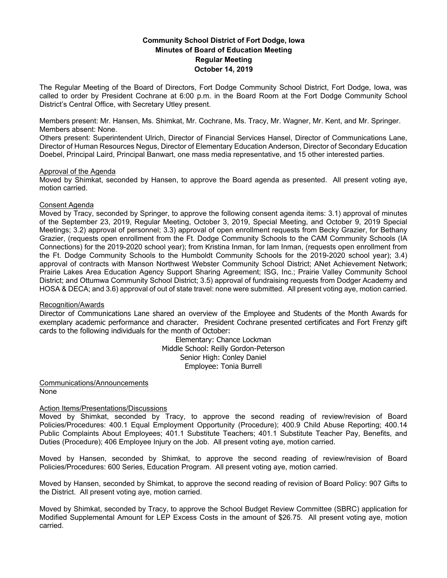# **Community School District of Fort Dodge, Iowa Minutes of Board of Education Meeting Regular Meeting October 14, 2019**

The Regular Meeting of the Board of Directors, Fort Dodge Community School District, Fort Dodge, Iowa, was called to order by President Cochrane at 6:00 p.m. in the Board Room at the Fort Dodge Community School District's Central Office, with Secretary Utley present.

Members present: Mr. Hansen, Ms. Shimkat, Mr. Cochrane, Ms. Tracy, Mr. Wagner, Mr. Kent, and Mr. Springer. Members absent: None.

Others present: Superintendent Ulrich, Director of Financial Services Hansel, Director of Communications Lane, Director of Human Resources Negus, Director of Elementary Education Anderson, Director of Secondary Education Doebel, Principal Laird, Principal Banwart, one mass media representative, and 15 other interested parties.

## Approval of the Agenda

Moved by Shimkat, seconded by Hansen, to approve the Board agenda as presented. All present voting aye, motion carried.

## Consent Agenda

Moved by Tracy, seconded by Springer, to approve the following consent agenda items: 3.1) approval of minutes of the September 23, 2019, Regular Meeting, October 3, 2019, Special Meeting, and October 9, 2019 Special Meetings; 3.2) approval of personnel; 3.3) approval of open enrollment requests from Becky Grazier, for Bethany Grazier, (requests open enrollment from the Ft. Dodge Community Schools to the CAM Community Schools (IA Connections) for the 2019-2020 school year); from Kristina Inman, for Iam Inman, (requests open enrollment from the Ft. Dodge Community Schools to the Humboldt Community Schools for the 2019-2020 school year); 3.4) approval of contracts with Manson Northwest Webster Community School District; ANet Achievement Network; Prairie Lakes Area Education Agency Support Sharing Agreement; ISG, Inc.; Prairie Valley Community School District; and Ottumwa Community School District; 3.5) approval of fundraising requests from Dodger Academy and HOSA & DECA; and 3.6) approval of out of state travel: none were submitted. All present voting aye, motion carried.

## Recognition/Awards

Director of Communications Lane shared an overview of the Employee and Students of the Month Awards for exemplary academic performance and character. President Cochrane presented certificates and Fort Frenzy gift cards to the following individuals for the month of October:

> Elementary: Chance Lockman Middle School: Reilly Gordon-Peterson Senior High: Conley Daniel Employee: Tonia Burrell

Communications/Announcements None

## Action Items/Presentations/Discussions

Moved by Shimkat, seconded by Tracy, to approve the second reading of review/revision of Board Policies/Procedures: 400.1 Equal Employment Opportunity (Procedure); 400.9 Child Abuse Reporting; 400.14 Public Complaints About Employees; 401.1 Substitute Teachers; 401.1 Substitute Teacher Pay, Benefits, and Duties (Procedure); 406 Employee Injury on the Job. All present voting aye, motion carried.

Moved by Hansen, seconded by Shimkat, to approve the second reading of review/revision of Board Policies/Procedures: 600 Series, Education Program. All present voting aye, motion carried.

Moved by Hansen, seconded by Shimkat, to approve the second reading of revision of Board Policy: 907 Gifts to the District. All present voting aye, motion carried.

Moved by Shimkat, seconded by Tracy, to approve the School Budget Review Committee (SBRC) application for Modified Supplemental Amount for LEP Excess Costs in the amount of \$26.75. All present voting aye, motion carried.